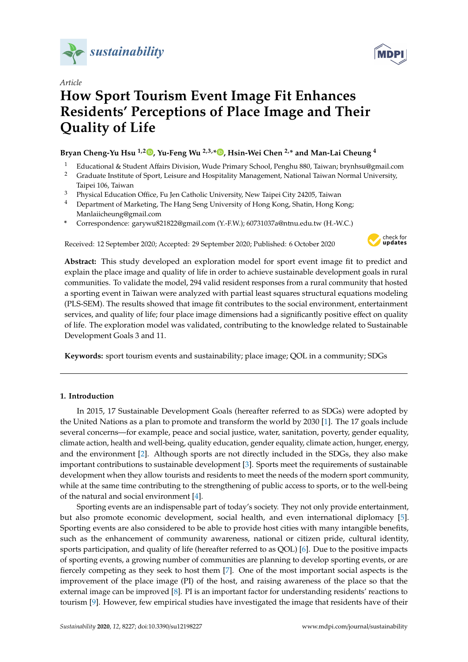



# **How Sport Tourism Event Image Fit Enhances Residents' Perceptions of Place Image and Their Quality of Life**

# **Bryan Cheng-Yu Hsu 1,2 [,](https://orcid.org/0000-0003-3995-5050) Yu-Feng Wu 2,3,\* [,](https://orcid.org/0000-0001-5688-0500) Hsin-Wei Chen 2,\* and Man-Lai Cheung <sup>4</sup>**

- <sup>1</sup> Educational & Student Affairs Division, Wude Primary School, Penghu 880, Taiwan; brynhsu@gmail.com
- <sup>2</sup> Graduate Institute of Sport, Leisure and Hospitality Management, National Taiwan Normal University, Taipei 106, Taiwan
- <sup>3</sup> Physical Education Office, Fu Jen Catholic University, New Taipei City 24205, Taiwan
- <sup>4</sup> Department of Marketing, The Hang Seng University of Hong Kong, Shatin, Hong Kong; Manlaiicheung@gmail.com
- **\*** Correspondence: garywu821822@gmail.com (Y.-F.W.); 60731037a@ntnu.edu.tw (H.-W.C.)

Received: 12 September 2020; Accepted: 29 September 2020; Published: 6 October 2020



**Abstract:** This study developed an exploration model for sport event image fit to predict and explain the place image and quality of life in order to achieve sustainable development goals in rural communities. To validate the model, 294 valid resident responses from a rural community that hosted a sporting event in Taiwan were analyzed with partial least squares structural equations modeling (PLS-SEM). The results showed that image fit contributes to the social environment, entertainment services, and quality of life; four place image dimensions had a significantly positive effect on quality of life. The exploration model was validated, contributing to the knowledge related to Sustainable Development Goals 3 and 11.

**Keywords:** sport tourism events and sustainability; place image; QOL in a community; SDGs

## **1. Introduction**

In 2015, 17 Sustainable Development Goals (hereafter referred to as SDGs) were adopted by the United Nations as a plan to promote and transform the world by 2030 [\[1\]](#page-10-0). The 17 goals include several concerns—for example, peace and social justice, water, sanitation, poverty, gender equality, climate action, health and well-being, quality education, gender equality, climate action, hunger, energy, and the environment [\[2\]](#page-10-1). Although sports are not directly included in the SDGs, they also make important contributions to sustainable development [\[3\]](#page-10-2). Sports meet the requirements of sustainable development when they allow tourists and residents to meet the needs of the modern sport community, while at the same time contributing to the strengthening of public access to sports, or to the well-being of the natural and social environment [\[4\]](#page-10-3).

Sporting events are an indispensable part of today's society. They not only provide entertainment, but also promote economic development, social health, and even international diplomacy [\[5\]](#page-10-4). Sporting events are also considered to be able to provide host cities with many intangible benefits, such as the enhancement of community awareness, national or citizen pride, cultural identity, sports participation, and quality of life (hereafter referred to as QOL) [\[6\]](#page-10-5). Due to the positive impacts of sporting events, a growing number of communities are planning to develop sporting events, or are fiercely competing as they seek to host them [\[7\]](#page-10-6). One of the most important social aspects is the improvement of the place image (PI) of the host, and raising awareness of the place so that the external image can be improved [\[8\]](#page-10-7). PI is an important factor for understanding residents' reactions to tourism [\[9\]](#page-10-8). However, few empirical studies have investigated the image that residents have of their

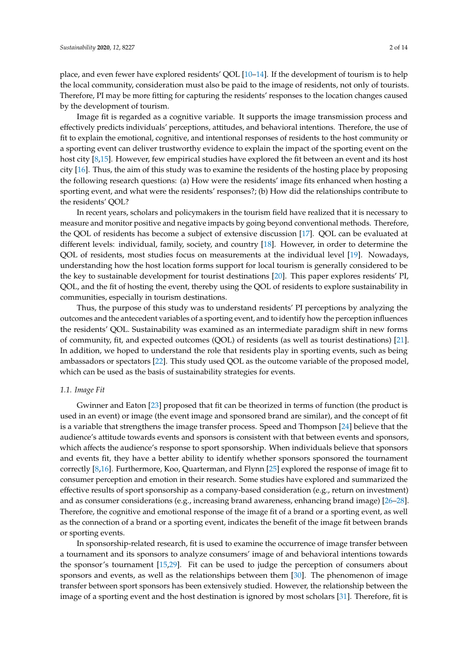place, and even fewer have explored residents' QOL [\[10](#page-10-9)[–14\]](#page-10-10). If the development of tourism is to help the local community, consideration must also be paid to the image of residents, not only of tourists. Therefore, PI may be more fitting for capturing the residents' responses to the location changes caused by the development of tourism.

Image fit is regarded as a cognitive variable. It supports the image transmission process and effectively predicts individuals' perceptions, attitudes, and behavioral intentions. Therefore, the use of fit to explain the emotional, cognitive, and intentional responses of residents to the host community or a sporting event can deliver trustworthy evidence to explain the impact of the sporting event on the host city [\[8](#page-10-7)[,15\]](#page-10-11). However, few empirical studies have explored the fit between an event and its host city [\[16\]](#page-10-12). Thus, the aim of this study was to examine the residents of the hosting place by proposing the following research questions: (a) How were the residents' image fits enhanced when hosting a sporting event, and what were the residents' responses?; (b) How did the relationships contribute to the residents' QOL?

In recent years, scholars and policymakers in the tourism field have realized that it is necessary to measure and monitor positive and negative impacts by going beyond conventional methods. Therefore, the QOL of residents has become a subject of extensive discussion [\[17\]](#page-10-13). QOL can be evaluated at different levels: individual, family, society, and country [\[18\]](#page-10-14). However, in order to determine the QOL of residents, most studies focus on measurements at the individual level [\[19\]](#page-10-15). Nowadays, understanding how the host location forms support for local tourism is generally considered to be the key to sustainable development for tourist destinations [\[20\]](#page-10-16). This paper explores residents' PI, QOL, and the fit of hosting the event, thereby using the QOL of residents to explore sustainability in communities, especially in tourism destinations.

Thus, the purpose of this study was to understand residents' PI perceptions by analyzing the outcomes and the antecedent variables of a sporting event, and to identify how the perception influences the residents' QOL. Sustainability was examined as an intermediate paradigm shift in new forms of community, fit, and expected outcomes (QOL) of residents (as well as tourist destinations) [\[21\]](#page-10-17). In addition, we hoped to understand the role that residents play in sporting events, such as being ambassadors or spectators [\[22\]](#page-11-0). This study used QOL as the outcome variable of the proposed model, which can be used as the basis of sustainability strategies for events.

## *1.1. Image Fit*

Gwinner and Eaton [\[23\]](#page-11-1) proposed that fit can be theorized in terms of function (the product is used in an event) or image (the event image and sponsored brand are similar), and the concept of fit is a variable that strengthens the image transfer process. Speed and Thompson [\[24\]](#page-11-2) believe that the audience's attitude towards events and sponsors is consistent with that between events and sponsors, which affects the audience's response to sport sponsorship. When individuals believe that sponsors and events fit, they have a better ability to identify whether sponsors sponsored the tournament correctly [\[8](#page-10-7)[,16\]](#page-10-12). Furthermore, Koo, Quarterman, and Flynn [\[25\]](#page-11-3) explored the response of image fit to consumer perception and emotion in their research. Some studies have explored and summarized the effective results of sport sponsorship as a company-based consideration (e.g., return on investment) and as consumer considerations (e.g., increasing brand awareness, enhancing brand image) [\[26–](#page-11-4)[28\]](#page-11-5). Therefore, the cognitive and emotional response of the image fit of a brand or a sporting event, as well as the connection of a brand or a sporting event, indicates the benefit of the image fit between brands or sporting events.

In sponsorship-related research, fit is used to examine the occurrence of image transfer between a tournament and its sponsors to analyze consumers' image of and behavioral intentions towards the sponsor's tournament [\[15](#page-10-11)[,29\]](#page-11-6). Fit can be used to judge the perception of consumers about sponsors and events, as well as the relationships between them [\[30\]](#page-11-7). The phenomenon of image transfer between sport sponsors has been extensively studied. However, the relationship between the image of a sporting event and the host destination is ignored by most scholars [\[31\]](#page-11-8). Therefore, fit is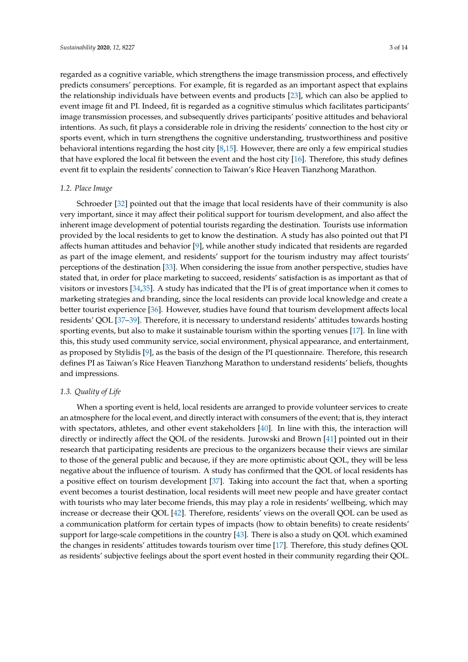regarded as a cognitive variable, which strengthens the image transmission process, and effectively predicts consumers' perceptions. For example, fit is regarded as an important aspect that explains the relationship individuals have between events and products [\[23\]](#page-11-1), which can also be applied to event image fit and PI. Indeed, fit is regarded as a cognitive stimulus which facilitates participants' image transmission processes, and subsequently drives participants' positive attitudes and behavioral intentions. As such, fit plays a considerable role in driving the residents' connection to the host city or sports event, which in turn strengthens the cognitive understanding, trustworthiness and positive behavioral intentions regarding the host city [\[8,](#page-10-7)[15\]](#page-10-11). However, there are only a few empirical studies that have explored the local fit between the event and the host city [\[16\]](#page-10-12). Therefore, this study defines event fit to explain the residents' connection to Taiwan's Rice Heaven Tianzhong Marathon.

#### *1.2. Place Image*

Schroeder [\[32\]](#page-11-9) pointed out that the image that local residents have of their community is also very important, since it may affect their political support for tourism development, and also affect the inherent image development of potential tourists regarding the destination. Tourists use information provided by the local residents to get to know the destination. A study has also pointed out that PI affects human attitudes and behavior [\[9\]](#page-10-8), while another study indicated that residents are regarded as part of the image element, and residents' support for the tourism industry may affect tourists' perceptions of the destination [\[33\]](#page-11-10). When considering the issue from another perspective, studies have stated that, in order for place marketing to succeed, residents' satisfaction is as important as that of visitors or investors [\[34,](#page-11-11)[35\]](#page-11-12). A study has indicated that the PI is of great importance when it comes to marketing strategies and branding, since the local residents can provide local knowledge and create a better tourist experience [\[36\]](#page-11-13). However, studies have found that tourism development affects local residents' QOL [\[37](#page-11-14)[–39\]](#page-11-15). Therefore, it is necessary to understand residents' attitudes towards hosting sporting events, but also to make it sustainable tourism within the sporting venues [\[17\]](#page-10-13). In line with this, this study used community service, social environment, physical appearance, and entertainment, as proposed by Stylidis [\[9\]](#page-10-8), as the basis of the design of the PI questionnaire. Therefore, this research defines PI as Taiwan's Rice Heaven Tianzhong Marathon to understand residents' beliefs, thoughts and impressions.

## *1.3. Quality of Life*

When a sporting event is held, local residents are arranged to provide volunteer services to create an atmosphere for the local event, and directly interact with consumers of the event; that is, they interact with spectators, athletes, and other event stakeholders [\[40\]](#page-11-16). In line with this, the interaction will directly or indirectly affect the QOL of the residents. Jurowski and Brown [\[41\]](#page-11-17) pointed out in their research that participating residents are precious to the organizers because their views are similar to those of the general public and because, if they are more optimistic about QOL, they will be less negative about the influence of tourism. A study has confirmed that the QOL of local residents has a positive effect on tourism development [\[37\]](#page-11-14). Taking into account the fact that, when a sporting event becomes a tourist destination, local residents will meet new people and have greater contact with tourists who may later become friends, this may play a role in residents' wellbeing, which may increase or decrease their QOL [\[42\]](#page-11-18). Therefore, residents' views on the overall QOL can be used as a communication platform for certain types of impacts (how to obtain benefits) to create residents' support for large-scale competitions in the country [\[43\]](#page-11-19). There is also a study on QOL which examined the changes in residents' attitudes towards tourism over time [\[17\]](#page-10-13). Therefore, this study defines QOL as residents' subjective feelings about the sport event hosted in their community regarding their QOL.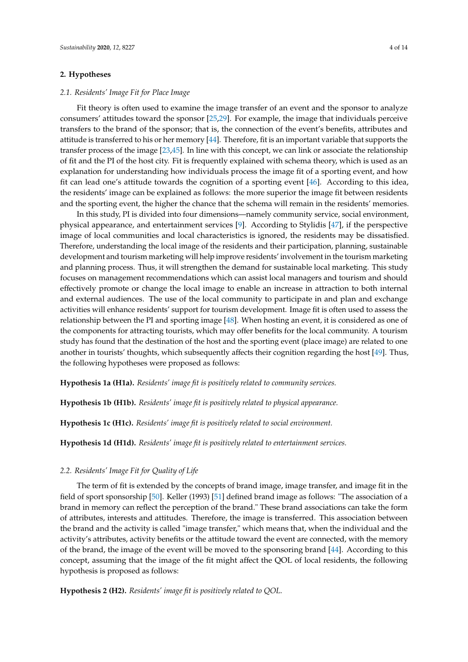## **2. Hypotheses**

## *2.1. Residents' Image Fit for Place Image*

Fit theory is often used to examine the image transfer of an event and the sponsor to analyze consumers' attitudes toward the sponsor [\[25](#page-11-3)[,29\]](#page-11-6). For example, the image that individuals perceive transfers to the brand of the sponsor; that is, the connection of the event's benefits, attributes and attitude is transferred to his or her memory [\[44\]](#page-11-20). Therefore, fit is an important variable that supports the transfer process of the image [\[23](#page-11-1)[,45\]](#page-11-21). In line with this concept, we can link or associate the relationship of fit and the PI of the host city. Fit is frequently explained with schema theory, which is used as an explanation for understanding how individuals process the image fit of a sporting event, and how fit can lead one's attitude towards the cognition of a sporting event [\[46\]](#page-11-22). According to this idea, the residents' image can be explained as follows: the more superior the image fit between residents and the sporting event, the higher the chance that the schema will remain in the residents' memories.

In this study, PI is divided into four dimensions—namely community service, social environment, physical appearance, and entertainment services [\[9\]](#page-10-8). According to Stylidis [\[47\]](#page-11-23), if the perspective image of local communities and local characteristics is ignored, the residents may be dissatisfied. Therefore, understanding the local image of the residents and their participation, planning, sustainable development and tourism marketing will help improve residents' involvement in the tourism marketing and planning process. Thus, it will strengthen the demand for sustainable local marketing. This study focuses on management recommendations which can assist local managers and tourism and should effectively promote or change the local image to enable an increase in attraction to both internal and external audiences. The use of the local community to participate in and plan and exchange activities will enhance residents' support for tourism development. Image fit is often used to assess the relationship between the PI and sporting image [\[48\]](#page-12-0). When hosting an event, it is considered as one of the components for attracting tourists, which may offer benefits for the local community. A tourism study has found that the destination of the host and the sporting event (place image) are related to one another in tourists' thoughts, which subsequently affects their cognition regarding the host [\[49\]](#page-12-1). Thus, the following hypotheses were proposed as follows:

**Hypothesis 1a (H1a).** *Residents' image fit is positively related to community services.*

**Hypothesis 1b (H1b).** *Residents' image fit is positively related to physical appearance.*

**Hypothesis 1c (H1c).** *Residents' image fit is positively related to social environment.*

**Hypothesis 1d (H1d).** *Residents' image fit is positively related to entertainment services.*

#### *2.2. Residents' Image Fit for Quality of Life*

The term of fit is extended by the concepts of brand image, image transfer, and image fit in the field of sport sponsorship [\[50\]](#page-12-2). Keller (1993) [\[51\]](#page-12-3) defined brand image as follows: "The association of a brand in memory can reflect the perception of the brand." These brand associations can take the form of attributes, interests and attitudes. Therefore, the image is transferred. This association between the brand and the activity is called "image transfer," which means that, when the individual and the activity's attributes, activity benefits or the attitude toward the event are connected, with the memory of the brand, the image of the event will be moved to the sponsoring brand [\[44\]](#page-11-20). According to this concept, assuming that the image of the fit might affect the QOL of local residents, the following hypothesis is proposed as follows:

**Hypothesis 2 (H2).** *Residents' image fit is positively related to QOL.*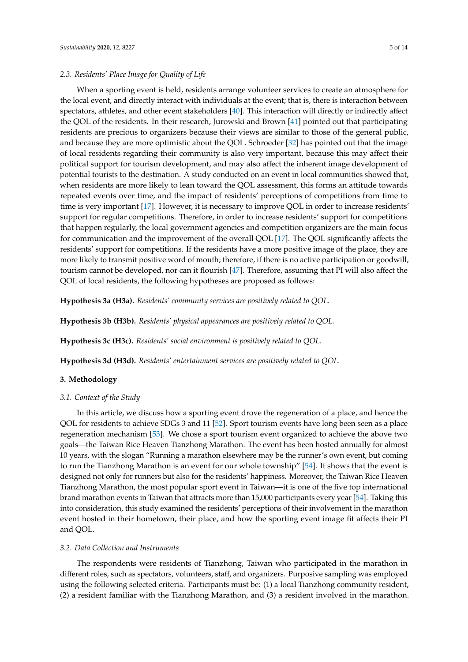## *2.3. Residents' Place Image for Quality of Life*

When a sporting event is held, residents arrange volunteer services to create an atmosphere for the local event, and directly interact with individuals at the event; that is, there is interaction between spectators, athletes, and other event stakeholders [\[40\]](#page-11-16). This interaction will directly or indirectly affect the QOL of the residents. In their research, Jurowski and Brown [\[41\]](#page-11-17) pointed out that participating residents are precious to organizers because their views are similar to those of the general public, and because they are more optimistic about the QOL. Schroeder [\[32\]](#page-11-9) has pointed out that the image of local residents regarding their community is also very important, because this may affect their political support for tourism development, and may also affect the inherent image development of potential tourists to the destination. A study conducted on an event in local communities showed that, when residents are more likely to lean toward the QOL assessment, this forms an attitude towards repeated events over time, and the impact of residents' perceptions of competitions from time to time is very important [\[17\]](#page-10-13). However, it is necessary to improve QOL in order to increase residents' support for regular competitions. Therefore, in order to increase residents' support for competitions that happen regularly, the local government agencies and competition organizers are the main focus for communication and the improvement of the overall QOL [\[17\]](#page-10-13). The QOL significantly affects the residents' support for competitions. If the residents have a more positive image of the place, they are more likely to transmit positive word of mouth; therefore, if there is no active participation or goodwill, tourism cannot be developed, nor can it flourish [\[47\]](#page-11-23). Therefore, assuming that PI will also affect the QOL of local residents, the following hypotheses are proposed as follows:

**Hypothesis 3a (H3a).** *Residents' community services are positively related to QOL.*

**Hypothesis 3b (H3b).** *Residents' physical appearances are positively related to QOL.*

**Hypothesis 3c (H3c).** *Residents' social environment is positively related to QOL.*

**Hypothesis 3d (H3d).** *Residents' entertainment services are positively related to QOL.*

## **3. Methodology**

# *3.1. Context of the Study*

In this article, we discuss how a sporting event drove the regeneration of a place, and hence the QOL for residents to achieve SDGs 3 and 11 [\[52\]](#page-12-4). Sport tourism events have long been seen as a place regeneration mechanism [\[53\]](#page-12-5). We chose a sport tourism event organized to achieve the above two goals—the Taiwan Rice Heaven Tianzhong Marathon. The event has been hosted annually for almost 10 years, with the slogan "Running a marathon elsewhere may be the runner's own event, but coming to run the Tianzhong Marathon is an event for our whole township" [\[54\]](#page-12-6). It shows that the event is designed not only for runners but also for the residents' happiness. Moreover, the Taiwan Rice Heaven Tianzhong Marathon, the most popular sport event in Taiwan—it is one of the five top international brand marathon events in Taiwan that attracts more than 15,000 participants every year [\[54\]](#page-12-6). Taking this into consideration, this study examined the residents' perceptions of their involvement in the marathon event hosted in their hometown, their place, and how the sporting event image fit affects their PI and QOL.

## *3.2. Data Collection and Instruments*

The respondents were residents of Tianzhong, Taiwan who participated in the marathon in different roles, such as spectators, volunteers, staff, and organizers. Purposive sampling was employed using the following selected criteria. Participants must be: (1) a local Tianzhong community resident, (2) a resident familiar with the Tianzhong Marathon, and (3) a resident involved in the marathon.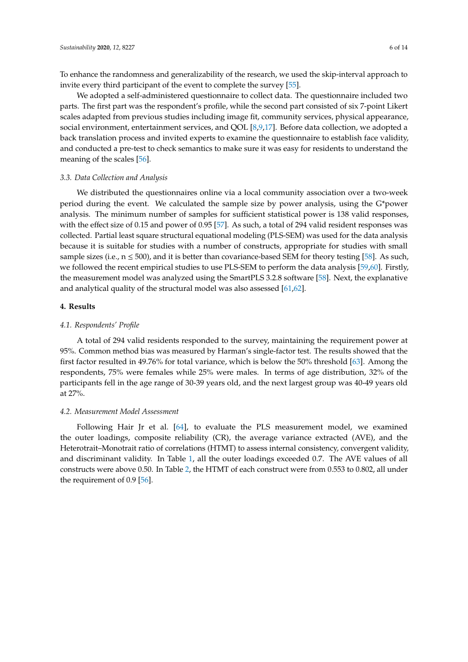To enhance the randomness and generalizability of the research, we used the skip-interval approach to invite every third participant of the event to complete the survey [\[55\]](#page-12-7).

We adopted a self-administered questionnaire to collect data. The questionnaire included two parts. The first part was the respondent's profile, while the second part consisted of six 7-point Likert scales adapted from previous studies including image fit, community services, physical appearance, social environment, entertainment services, and QOL [\[8,](#page-10-7)[9,](#page-10-8)[17\]](#page-10-13). Before data collection, we adopted a back translation process and invited experts to examine the questionnaire to establish face validity, and conducted a pre-test to check semantics to make sure it was easy for residents to understand the meaning of the scales [\[56\]](#page-12-8).

#### *3.3. Data Collection and Analysis*

We distributed the questionnaires online via a local community association over a two-week period during the event. We calculated the sample size by power analysis, using the G\*power analysis. The minimum number of samples for sufficient statistical power is 138 valid responses, with the effect size of 0.15 and power of 0.95 [\[57\]](#page-12-9). As such, a total of 294 valid resident responses was collected. Partial least square structural equational modeling (PLS-SEM) was used for the data analysis because it is suitable for studies with a number of constructs, appropriate for studies with small sample sizes (i.e.,  $n \le 500$ ), and it is better than covariance-based SEM for theory testing [\[58\]](#page-12-10). As such, we followed the recent empirical studies to use PLS-SEM to perform the data analysis [\[59,](#page-12-11)[60\]](#page-12-12). Firstly, the measurement model was analyzed using the SmartPLS 3.2.8 software [\[58\]](#page-12-10). Next, the explanative and analytical quality of the structural model was also assessed [\[61](#page-12-13)[,62\]](#page-12-14).

## **4. Results**

#### *4.1. Respondents' Profile*

A total of 294 valid residents responded to the survey, maintaining the requirement power at 95%. Common method bias was measured by Harman's single-factor test. The results showed that the first factor resulted in 49.76% for total variance, which is below the 50% threshold [\[63\]](#page-12-15). Among the respondents, 75% were females while 25% were males. In terms of age distribution, 32% of the participants fell in the age range of 30-39 years old, and the next largest group was 40-49 years old at 27%.

## *4.2. Measurement Model Assessment*

Following Hair Jr et al. [\[64\]](#page-12-16), to evaluate the PLS measurement model, we examined the outer loadings, composite reliability (CR), the average variance extracted (AVE), and the Heterotrait–Monotrait ratio of correlations (HTMT) to assess internal consistency, convergent validity, and discriminant validity. In Table [1,](#page-6-0) all the outer loadings exceeded 0.7. The AVE values of all constructs were above 0.50. In Table [2,](#page-6-1) the HTMT of each construct were from 0.553 to 0.802, all under the requirement of 0.9 [\[56\]](#page-12-8).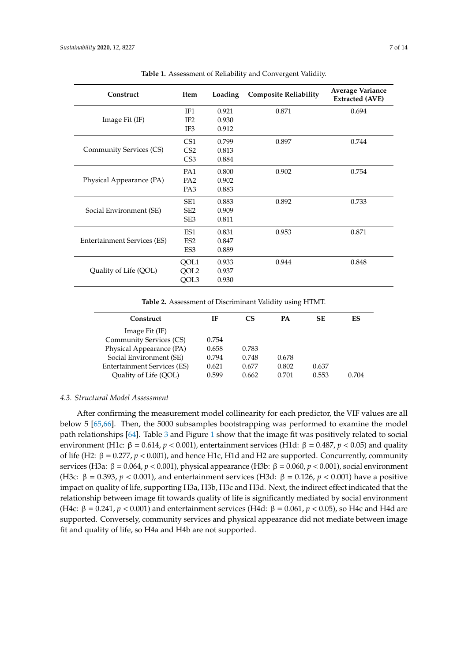<span id="page-6-0"></span>

| Construct                          | Item             | Loading | <b>Composite Reliability</b> | <b>Average Variance</b><br><b>Extracted (AVE)</b> |  |
|------------------------------------|------------------|---------|------------------------------|---------------------------------------------------|--|
|                                    | IF <sub>1</sub>  | 0.921   | 0.871                        | 0.694                                             |  |
| Image Fit (IF)                     | IF <sub>2</sub>  | 0.930   |                              |                                                   |  |
|                                    | IF3              | 0.912   |                              |                                                   |  |
|                                    | CS <sub>1</sub>  | 0.799   | 0.897                        | 0.744                                             |  |
| Community Services (CS)            | CS <sub>2</sub>  | 0.813   |                              |                                                   |  |
|                                    | CS <sub>3</sub>  | 0.884   |                              |                                                   |  |
| Physical Appearance (PA)           | PA <sub>1</sub>  | 0.800   | 0.902                        | 0.754                                             |  |
|                                    | PA <sub>2</sub>  | 0.902   |                              |                                                   |  |
|                                    | PA <sub>3</sub>  | 0.883   |                              |                                                   |  |
|                                    | SE <sub>1</sub>  | 0.883   | 0.892                        | 0.733                                             |  |
| Social Environment (SE)            | SE <sub>2</sub>  | 0.909   |                              |                                                   |  |
|                                    | SE3              | 0.811   |                              |                                                   |  |
|                                    | ES1              | 0.831   | 0.953                        | 0.871                                             |  |
| <b>Entertainment Services (ES)</b> | ES <sub>2</sub>  | 0.847   |                              |                                                   |  |
|                                    | ES <sub>3</sub>  | 0.889   |                              |                                                   |  |
|                                    | OOL1             | 0.933   | 0.944                        | 0.848                                             |  |
| Quality of Life (QOL)              | QOL <sub>2</sub> | 0.937   |                              |                                                   |  |
|                                    | QOL3             | 0.930   |                              |                                                   |  |
|                                    |                  |         |                              |                                                   |  |

**Table 1.** Assessment of Reliability and Convergent Validity.

**Table 2.** Assessment of Discriminant Validity using HTMT.

<span id="page-6-1"></span>

| Construct                          | IF    | CS    | PА    | SЕ    | ES    |
|------------------------------------|-------|-------|-------|-------|-------|
| Image Fit $(IF)$                   |       |       |       |       |       |
| Community Services (CS)            | 0.754 |       |       |       |       |
| Physical Appearance (PA)           | 0.658 | 0.783 |       |       |       |
| Social Environment (SE)            | 0.794 | 0.748 | 0.678 |       |       |
| <b>Entertainment Services (ES)</b> | 0.621 | 0.677 | 0.802 | 0.637 |       |
| Quality of Life (QOL)              | 0.599 | 0.662 | 0.701 | 0.553 | 0.704 |

## *4.3. Structural Model Assessment*

After confirming the measurement model collinearity for each predictor, the VIF values are all below 5 [\[65,](#page-12-17)[66\]](#page-12-18). Then, the 5000 subsamples bootstrapping was performed to examine the model path relationships [\[64\]](#page-12-16). Table [3](#page-7-0) and Figure [1](#page-7-1) show that the image fit was positively related to social environment (H1c: β = 0.614, *p* < 0.001), entertainment services (H1d: β = 0.487, *p* < 0.05) and quality of life (H2: β = 0.277, *p* < 0.001), and hence H1c, H1d and H2 are supported. Concurrently, community services (H3a: β = 0.064, *p* < 0.001), physical appearance (H3b: β = 0.060, *p* < 0.001), social environment (H3c: β = 0.393, *p* < 0.001), and entertainment services (H3d: β = 0.126, *p* < 0.001) have a positive impact on quality of life, supporting H3a, H3b, H3c and H3d. Next, the indirect effect indicated that the relationship between image fit towards quality of life is significantly mediated by social environment (H4c: β = 0.241, *p* < 0.001) and entertainment services (H4d: β = 0.061, *p* < 0.05), so H4c and H4d are supported. Conversely, community services and physical appearance did not mediate between image fit and quality of life, so H4a and H4b are not supported.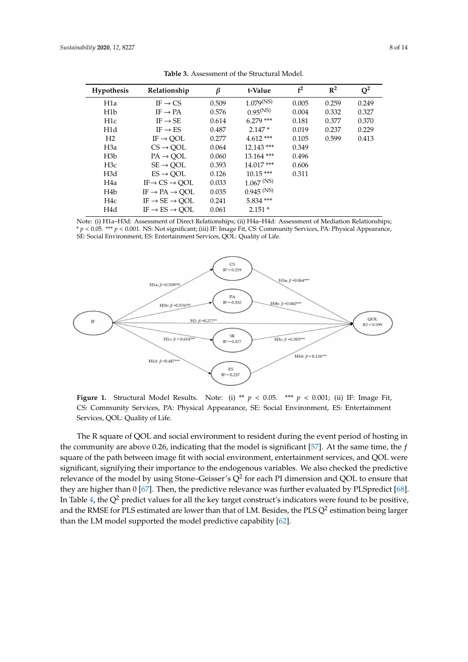<span id="page-7-0"></span>

| <b>Hypothesis</b> | Relationship                          | β     | t-Value        | f <sup>2</sup> | $\mathbb{R}^2$ | $Q^2$ |
|-------------------|---------------------------------------|-------|----------------|----------------|----------------|-------|
| H <sub>1</sub> a  | $IF \rightarrow CS$                   | 0.509 | $1.079^{(NS)}$ | 0.005          | 0.259          | 0.249 |
| H1b               | $IF \rightarrow PA$                   | 0.576 | $0.95^{(NS)}$  | 0.004          | 0.332          | 0.327 |
| H <sub>1</sub> c  | $IF \rightarrow SE$                   | 0.614 | $6.279$ ***    | 0.181          | 0.377          | 0.370 |
| H1d               | $IF \rightarrow ES$                   | 0.487 | $2.147*$       | 0.019          | 0.237          | 0.229 |
| H <sub>2</sub>    | $IF \rightarrow OOL$                  | 0.277 | $4.612***$     | 0.105          | 0.599          | 0.413 |
| H <sub>3</sub> a  | $CS \rightarrow OOL$                  | 0.064 | $12.143$ ***   | 0.349          |                |       |
| H <sub>3</sub> b  | $PA \rightarrow OOL$                  | 0.060 | 13.164***      | 0.496          |                |       |
| H3c               | $SE \rightarrow OOL$                  | 0.393 | $14.017***$    | 0.606          |                |       |
| H <sub>3</sub> d  | $ES \rightarrow OOL$                  | 0.126 | $10.15***$     | 0.311          |                |       |
| H <sub>4</sub> a  | $IF \rightarrow CS \rightarrow OOL$   | 0.033 | $1.067$ (NS)   |                |                |       |
| H <sub>4</sub> b  | $IF \rightarrow PA \rightarrow OOL$   | 0.035 | $0.945$ (NS)   |                |                |       |
| H4c               | IF $\rightarrow$ SE $\rightarrow$ OOL | 0.241 | 5.834 ***      |                |                |       |
| H <sub>4</sub> d  | IF $\rightarrow$ ES $\rightarrow$ OOL | 0.061 | $2.151*$       |                |                |       |

**Table 3.** Assessment of the Structural Model.

Note: (i) H1a–H3d: Assessment of Direct Relationships; (ii) H4a–H4d: Assessment of Mediation Relationships; \* *p* < 0.05. \*\*\* *p* < 0.001. NS: Not significant; (iii) IF: Image Fit, CS: Community Services, PA: Physical Appearance, SE: Social Environment, ES: Entertainment Services, QOL: Quality of Life.

<span id="page-7-1"></span>

**Figure 1.** Structural Model Results. Note: (i) \*\*  $p < 0.05$ . \*\*\*  $p < 0.001$ ; (ii) IF: Image Fit, CS: Community Services, PA: Physical Appearance, SE: Social Environment, ES: Entertainment Services, QOL: Quality of Life.

The R square of QOL and social environment to resident during the event period of hosting in the community are above 0.26, indicating that the model is significant [\[57\]](#page-12-9). At the same time, the  $f$ square of the path between image fit with social environment, entertainment services, and QOL were significant, signifying their importance to the endogenous variables. We also checked the predictive relevance of the model by using Stone–Geisser's  $Q^2$  for each PI dimension and QOL to ensure that they are higher than 0 [\[67\]](#page-12-19). Then, the predictive relevance was further evaluated by PLSpredict [\[68\]](#page-12-20). In Table [4,](#page-8-0) the  $Q^2$  predict values for all the key target construct's indicators were found to be positive, and the RMSE for PLS estimated are lower than that of LM. Besides, the PLS  $Q^2$  estimation being larger than the LM model supported the model predictive capability [\[62\]](#page-12-14).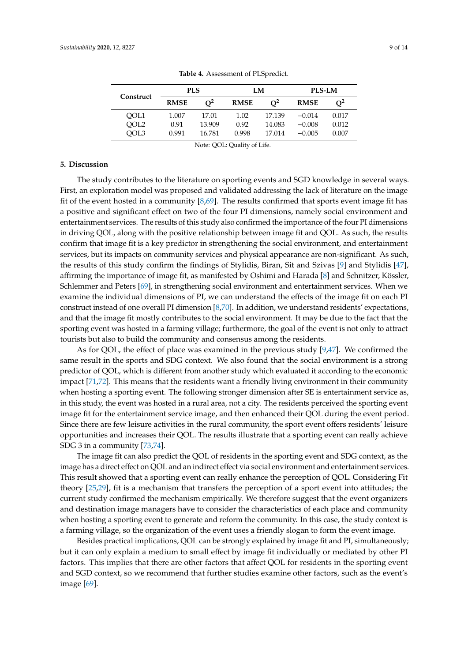<span id="page-8-0"></span>

| Construct        | <b>PLS</b>  |        | LM          |        | <b>PLS-LM</b> |            |
|------------------|-------------|--------|-------------|--------|---------------|------------|
|                  | <b>RMSE</b> | $O^2$  | <b>RMSE</b> | $O^2$  | <b>RMSE</b>   | $\Omega^2$ |
| OOL1             | 1.007       | 17.01  | 1.02        | 17.139 | $-0.014$      | 0.017      |
| OOL <sub>2</sub> | 0.91        | 13.909 | 0.92        | 14.083 | $-0.008$      | 0.012      |
| OOL3             | 0.991       | 16.781 | 0.998       | 17.014 | $-0.005$      | 0.007      |

**Table 4.** Assessment of PLSpredict.

Note: QOL: Quality of Life.

#### **5. Discussion**

The study contributes to the literature on sporting events and SGD knowledge in several ways. First, an exploration model was proposed and validated addressing the lack of literature on the image fit of the event hosted in a community [\[8,](#page-10-7)[69\]](#page-12-21). The results confirmed that sports event image fit has a positive and significant effect on two of the four PI dimensions, namely social environment and entertainment services. The results of this study also confirmed the importance of the four PI dimensions in driving QOL, along with the positive relationship between image fit and QOL. As such, the results confirm that image fit is a key predictor in strengthening the social environment, and entertainment services, but its impacts on community services and physical appearance are non-significant. As such, the results of this study confirm the findings of Stylidis, Biran, Sit and Szivas [\[9\]](#page-10-8) and Stylidis [\[47\]](#page-11-23), affirming the importance of image fit, as manifested by Oshimi and Harada [\[8\]](#page-10-7) and Schnitzer, Kössler, Schlemmer and Peters [\[69\]](#page-12-21), in strengthening social environment and entertainment services. When we examine the individual dimensions of PI, we can understand the effects of the image fit on each PI construct instead of one overall PI dimension [\[8](#page-10-7)[,70\]](#page-12-22). In addition, we understand residents' expectations, and that the image fit mostly contributes to the social environment. It may be due to the fact that the sporting event was hosted in a farming village; furthermore, the goal of the event is not only to attract tourists but also to build the community and consensus among the residents.

As for QOL, the effect of place was examined in the previous study [\[9,](#page-10-8)[47\]](#page-11-23). We confirmed the same result in the sports and SDG context. We also found that the social environment is a strong predictor of QOL, which is different from another study which evaluated it according to the economic impact [\[71,](#page-12-23)[72\]](#page-12-24). This means that the residents want a friendly living environment in their community when hosting a sporting event. The following stronger dimension after SE is entertainment service as, in this study, the event was hosted in a rural area, not a city. The residents perceived the sporting event image fit for the entertainment service image, and then enhanced their QOL during the event period. Since there are few leisure activities in the rural community, the sport event offers residents' leisure opportunities and increases their QOL. The results illustrate that a sporting event can really achieve SDG 3 in a community [\[73](#page-13-0)[,74\]](#page-13-1).

The image fit can also predict the QOL of residents in the sporting event and SDG context, as the image has a direct effect on QOL and an indirect effect via social environment and entertainment services. This result showed that a sporting event can really enhance the perception of QOL. Considering Fit theory [\[25](#page-11-3)[,29\]](#page-11-6), fit is a mechanism that transfers the perception of a sport event into attitudes; the current study confirmed the mechanism empirically. We therefore suggest that the event organizers and destination image managers have to consider the characteristics of each place and community when hosting a sporting event to generate and reform the community. In this case, the study context is a farming village, so the organization of the event uses a friendly slogan to form the event image.

Besides practical implications, QOL can be strongly explained by image fit and PI, simultaneously; but it can only explain a medium to small effect by image fit individually or mediated by other PI factors. This implies that there are other factors that affect QOL for residents in the sporting event and SGD context, so we recommend that further studies examine other factors, such as the event's image [\[69\]](#page-12-21).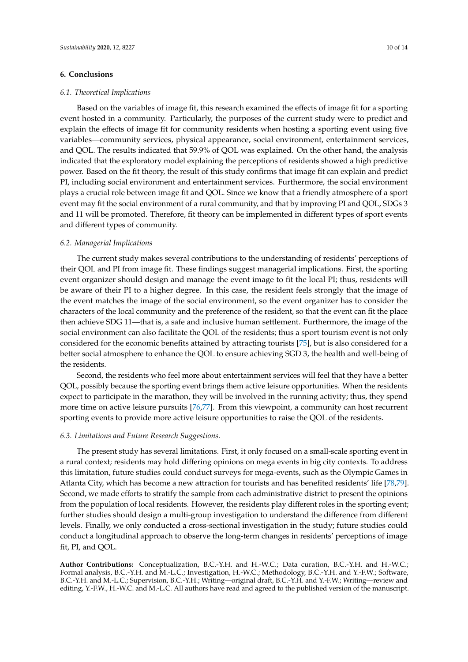## **6. Conclusions**

#### *6.1. Theoretical Implications*

Based on the variables of image fit, this research examined the effects of image fit for a sporting event hosted in a community. Particularly, the purposes of the current study were to predict and explain the effects of image fit for community residents when hosting a sporting event using five variables—community services, physical appearance, social environment, entertainment services, and QOL. The results indicated that 59.9% of QOL was explained. On the other hand, the analysis indicated that the exploratory model explaining the perceptions of residents showed a high predictive power. Based on the fit theory, the result of this study confirms that image fit can explain and predict PI, including social environment and entertainment services. Furthermore, the social environment plays a crucial role between image fit and QOL. Since we know that a friendly atmosphere of a sport event may fit the social environment of a rural community, and that by improving PI and QOL, SDGs 3 and 11 will be promoted. Therefore, fit theory can be implemented in different types of sport events and different types of community.

## *6.2. Managerial Implications*

The current study makes several contributions to the understanding of residents' perceptions of their QOL and PI from image fit. These findings suggest managerial implications. First, the sporting event organizer should design and manage the event image to fit the local PI; thus, residents will be aware of their PI to a higher degree. In this case, the resident feels strongly that the image of the event matches the image of the social environment, so the event organizer has to consider the characters of the local community and the preference of the resident, so that the event can fit the place then achieve SDG 11—that is, a safe and inclusive human settlement. Furthermore, the image of the social environment can also facilitate the QOL of the residents; thus a sport tourism event is not only considered for the economic benefits attained by attracting tourists [\[75\]](#page-13-2), but is also considered for a better social atmosphere to enhance the QOL to ensure achieving SGD 3, the health and well-being of the residents.

Second, the residents who feel more about entertainment services will feel that they have a better QOL, possibly because the sporting event brings them active leisure opportunities. When the residents expect to participate in the marathon, they will be involved in the running activity; thus, they spend more time on active leisure pursuits [\[76](#page-13-3)[,77\]](#page-13-4). From this viewpoint, a community can host recurrent sporting events to provide more active leisure opportunities to raise the QOL of the residents.

#### *6.3. Limitations and Future Research Suggestions.*

The present study has several limitations. First, it only focused on a small-scale sporting event in a rural context; residents may hold differing opinions on mega events in big city contexts. To address this limitation, future studies could conduct surveys for mega-events, such as the Olympic Games in Atlanta City, which has become a new attraction for tourists and has benefited residents' life [\[78,](#page-13-5)[79\]](#page-13-6). Second, we made efforts to stratify the sample from each administrative district to present the opinions from the population of local residents. However, the residents play different roles in the sporting event; further studies should design a multi-group investigation to understand the difference from different levels. Finally, we only conducted a cross-sectional investigation in the study; future studies could conduct a longitudinal approach to observe the long-term changes in residents' perceptions of image fit, PI, and QOL.

**Author Contributions:** Conceptualization, B.C.-Y.H. and H.-W.C.; Data curation, B.C.-Y.H. and H.-W.C.; Formal analysis, B.C.-Y.H. and M.-L.C.; Investigation, H.-W.C.; Methodology, B.C.-Y.H. and Y.-F.W.; Software, B.C.-Y.H. and M.-L.C.; Supervision, B.C.-Y.H.; Writing—original draft, B.C.-Y.H. and Y.-F.W.; Writing—review and editing, Y.-F.W., H.-W.C. and M.-L.C. All authors have read and agreed to the published version of the manuscript.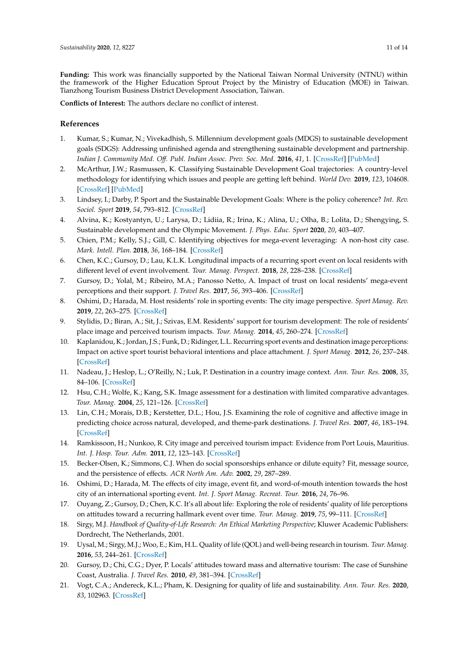**Funding:** This work was financially supported by the National Taiwan Normal University (NTNU) within the framework of the Higher Education Sprout Project by the Ministry of Education (MOE) in Taiwan. Tianzhong Tourism Business District Development Association, Taiwan.

**Conflicts of Interest:** The authors declare no conflict of interest.

# **References**

- <span id="page-10-0"></span>1. Kumar, S.; Kumar, N.; Vivekadhish, S. Millennium development goals (MDGS) to sustainable development goals (SDGS): Addressing unfinished agenda and strengthening sustainable development and partnership. *Indian J. Community Med. O*ff*. Publ. Indian Assoc. Prev. Soc. Med.* **2016**, *41*, 1. [\[CrossRef\]](http://dx.doi.org/10.4103/0970-0218.170955) [\[PubMed\]](http://www.ncbi.nlm.nih.gov/pubmed/26917865)
- <span id="page-10-1"></span>2. McArthur, J.W.; Rasmussen, K. Classifying Sustainable Development Goal trajectories: A country-level methodology for identifying which issues and people are getting left behind. *World Dev.* **2019**, *123*, 104608. [\[CrossRef\]](http://dx.doi.org/10.1016/j.worlddev.2019.06.031) [\[PubMed\]](http://www.ncbi.nlm.nih.gov/pubmed/31680717)
- <span id="page-10-2"></span>3. Lindsey, I.; Darby, P. Sport and the Sustainable Development Goals: Where is the policy coherence? *Int. Rev. Sociol. Sport* **2019**, *54*, 793–812. [\[CrossRef\]](http://dx.doi.org/10.1177/1012690217752651)
- <span id="page-10-3"></span>4. Alvina, K.; Kostyantyn, U.; Larysa, D.; Lidiia, R.; Irina, K.; Alina, U.; Olha, B.; Lolita, D.; Shengying, S. Sustainable development and the Olympic Movement. *J. Phys. Educ. Sport* **2020**, *20*, 403–407.
- <span id="page-10-4"></span>5. Chien, P.M.; Kelly, S.J.; Gill, C. Identifying objectives for mega-event leveraging: A non-host city case. *Mark. Intell. Plan.* **2018**, *36*, 168–184. [\[CrossRef\]](http://dx.doi.org/10.1108/MIP-05-2017-0085)
- <span id="page-10-5"></span>6. Chen, K.C.; Gursoy, D.; Lau, K.L.K. Longitudinal impacts of a recurring sport event on local residents with different level of event involvement. *Tour. Manag. Perspect.* **2018**, *28*, 228–238. [\[CrossRef\]](http://dx.doi.org/10.1016/j.tmp.2018.09.005)
- <span id="page-10-6"></span>7. Gursoy, D.; Yolal, M.; Ribeiro, M.A.; Panosso Netto, A. Impact of trust on local residents' mega-event perceptions and their support. *J. Travel Res.* **2017**, *56*, 393–406. [\[CrossRef\]](http://dx.doi.org/10.1177/0047287516643415)
- <span id="page-10-7"></span>8. Oshimi, D.; Harada, M. Host residents' role in sporting events: The city image perspective. *Sport Manag. Rev.* **2019**, *22*, 263–275. [\[CrossRef\]](http://dx.doi.org/10.1016/j.smr.2018.04.002)
- <span id="page-10-8"></span>9. Stylidis, D.; Biran, A.; Sit, J.; Szivas, E.M. Residents' support for tourism development: The role of residents' place image and perceived tourism impacts. *Tour. Manag.* **2014**, *45*, 260–274. [\[CrossRef\]](http://dx.doi.org/10.1016/j.tourman.2014.05.006)
- <span id="page-10-9"></span>10. Kaplanidou, K.; Jordan, J.S.; Funk, D.; Ridinger, L.L. Recurring sport events and destination image perceptions: Impact on active sport tourist behavioral intentions and place attachment. *J. Sport Manag.* **2012**, *26*, 237–248. [\[CrossRef\]](http://dx.doi.org/10.1123/jsm.26.3.237)
- 11. Nadeau, J.; Heslop, L.; O'Reilly, N.; Luk, P. Destination in a country image context. *Ann. Tour. Res.* **2008**, *35*, 84–106. [\[CrossRef\]](http://dx.doi.org/10.1016/j.annals.2007.06.012)
- 12. Hsu, C.H.; Wolfe, K.; Kang, S.K. Image assessment for a destination with limited comparative advantages. *Tour. Manag.* **2004**, *25*, 121–126. [\[CrossRef\]](http://dx.doi.org/10.1016/S0261-5177(03)00062-1)
- 13. Lin, C.H.; Morais, D.B.; Kerstetter, D.L.; Hou, J.S. Examining the role of cognitive and affective image in predicting choice across natural, developed, and theme-park destinations. *J. Travel Res.* **2007**, *46*, 183–194. [\[CrossRef\]](http://dx.doi.org/10.1177/0047287507304049)
- <span id="page-10-10"></span>14. Ramkissoon, H.; Nunkoo, R. City image and perceived tourism impact: Evidence from Port Louis, Mauritius. *Int. J. Hosp. Tour. Adm.* **2011**, *12*, 123–143. [\[CrossRef\]](http://dx.doi.org/10.1080/15256480.2011.564493)
- <span id="page-10-11"></span>15. Becker-Olsen, K.; Simmons, C.J. When do social sponsorships enhance or dilute equity? Fit, message source, and the persistence of effects. *ACR North Am. Adv.* **2002**, *29*, 287–289.
- <span id="page-10-12"></span>16. Oshimi, D.; Harada, M. The effects of city image, event fit, and word-of-mouth intention towards the host city of an international sporting event. *Int. J. Sport Manag. Recreat. Tour.* **2016**, *24*, 76–96.
- <span id="page-10-13"></span>17. Ouyang, Z.; Gursoy, D.; Chen, K.C. It's all about life: Exploring the role of residents' quality of life perceptions on attitudes toward a recurring hallmark event over time. *Tour. Manag.* **2019**, *75*, 99–111. [\[CrossRef\]](http://dx.doi.org/10.1016/j.tourman.2019.04.032)
- <span id="page-10-14"></span>18. Sirgy, M.J. *Handbook of Quality-of-Life Research: An Ethical Marketing Perspective*; Kluwer Academic Publishers: Dordrecht, The Netherlands, 2001.
- <span id="page-10-15"></span>19. Uysal, M.; Sirgy, M.J.; Woo, E.; Kim, H.L. Quality of life (QOL) and well-being research in tourism. *Tour. Manag.* **2016**, *53*, 244–261. [\[CrossRef\]](http://dx.doi.org/10.1016/j.tourman.2015.07.013)
- <span id="page-10-16"></span>20. Gursoy, D.; Chi, C.G.; Dyer, P. Locals' attitudes toward mass and alternative tourism: The case of Sunshine Coast, Australia. *J. Travel Res.* **2010**, *49*, 381–394. [\[CrossRef\]](http://dx.doi.org/10.1177/0047287509346853)
- <span id="page-10-17"></span>21. Vogt, C.A.; Andereck, K.L.; Pham, K. Designing for quality of life and sustainability. *Ann. Tour. Res.* **2020**, *83*, 102963. [\[CrossRef\]](http://dx.doi.org/10.1016/j.annals.2020.102963)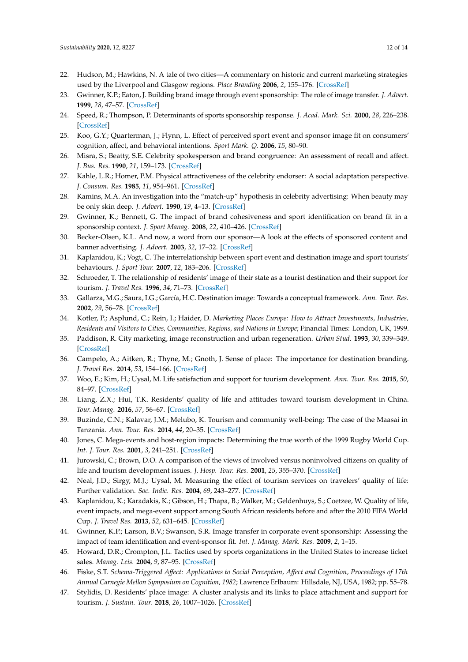- <span id="page-11-0"></span>22. Hudson, M.; Hawkins, N. A tale of two cities—A commentary on historic and current marketing strategies used by the Liverpool and Glasgow regions. *Place Branding* **2006**, *2*, 155–176. [\[CrossRef\]](http://dx.doi.org/10.1057/palgrave.pb.5990053)
- <span id="page-11-1"></span>23. Gwinner, K.P.; Eaton, J. Building brand image through event sponsorship: The role of image transfer. *J. Advert.* **1999**, *28*, 47–57. [\[CrossRef\]](http://dx.doi.org/10.1080/00913367.1999.10673595)
- <span id="page-11-2"></span>24. Speed, R.; Thompson, P. Determinants of sports sponsorship response. *J. Acad. Mark. Sci.* **2000**, *28*, 226–238. [\[CrossRef\]](http://dx.doi.org/10.1177/0092070300282004)
- <span id="page-11-3"></span>25. Koo, G.Y.; Quarterman, J.; Flynn, L. Effect of perceived sport event and sponsor image fit on consumers' cognition, affect, and behavioral intentions. *Sport Mark. Q.* **2006**, *15*, 80–90.
- <span id="page-11-4"></span>26. Misra, S.; Beatty, S.E. Celebrity spokesperson and brand congruence: An assessment of recall and affect. *J. Bus. Res.* **1990**, *21*, 159–173. [\[CrossRef\]](http://dx.doi.org/10.1016/0148-2963(90)90050-N)
- 27. Kahle, L.R.; Homer, P.M. Physical attractiveness of the celebrity endorser: A social adaptation perspective. *J. Consum. Res.* **1985**, *11*, 954–961. [\[CrossRef\]](http://dx.doi.org/10.1086/209029)
- <span id="page-11-5"></span>28. Kamins, M.A. An investigation into the "match-up" hypothesis in celebrity advertising: When beauty may be only skin deep. *J. Advert.* **1990**, *19*, 4–13. [\[CrossRef\]](http://dx.doi.org/10.1080/00913367.1990.10673175)
- <span id="page-11-6"></span>29. Gwinner, K.; Bennett, G. The impact of brand cohesiveness and sport identification on brand fit in a sponsorship context. *J. Sport Manag.* **2008**, *22*, 410–426. [\[CrossRef\]](http://dx.doi.org/10.1123/jsm.22.4.410)
- <span id="page-11-7"></span>30. Becker-Olsen, K.L. And now, a word from our sponsor—A look at the effects of sponsored content and banner advertising. *J. Advert.* **2003**, *32*, 17–32. [\[CrossRef\]](http://dx.doi.org/10.1080/00913367.2003.10639130)
- <span id="page-11-8"></span>31. Kaplanidou, K.; Vogt, C. The interrelationship between sport event and destination image and sport tourists' behaviours. *J. Sport Tour.* **2007**, *12*, 183–206. [\[CrossRef\]](http://dx.doi.org/10.1080/14775080701736932)
- <span id="page-11-9"></span>32. Schroeder, T. The relationship of residents' image of their state as a tourist destination and their support for tourism. *J. Travel Res.* **1996**, *34*, 71–73. [\[CrossRef\]](http://dx.doi.org/10.1177/004728759603400411)
- <span id="page-11-10"></span>33. Gallarza, M.G.; Saura, I.G.; García, H.C. Destination image: Towards a conceptual framework. *Ann. Tour. Res.* **2002**, *29*, 56–78. [\[CrossRef\]](http://dx.doi.org/10.1016/S0160-7383(01)00031-7)
- <span id="page-11-11"></span>34. Kotler, P.; Asplund, C.; Rein, I.; Haider, D. *Marketing Places Europe: How to Attract Investments, Industries, Residents and Visitors to Cities, Communities, Regions, and Nations in Europe*; Financial Times: London, UK, 1999.
- <span id="page-11-12"></span>35. Paddison, R. City marketing, image reconstruction and urban regeneration. *Urban Stud.* **1993**, *30*, 339–349. [\[CrossRef\]](http://dx.doi.org/10.1080/00420989320080331)
- <span id="page-11-13"></span>36. Campelo, A.; Aitken, R.; Thyne, M.; Gnoth, J. Sense of place: The importance for destination branding. *J. Travel Res.* **2014**, *53*, 154–166. [\[CrossRef\]](http://dx.doi.org/10.1177/0047287513496474)
- <span id="page-11-14"></span>37. Woo, E.; Kim, H.; Uysal, M. Life satisfaction and support for tourism development. *Ann. Tour. Res.* **2015**, *50*, 84–97. [\[CrossRef\]](http://dx.doi.org/10.1016/j.annals.2014.11.001)
- 38. Liang, Z.X.; Hui, T.K. Residents' quality of life and attitudes toward tourism development in China. *Tour. Manag.* **2016**, *57*, 56–67. [\[CrossRef\]](http://dx.doi.org/10.1016/j.tourman.2016.05.001)
- <span id="page-11-15"></span>39. Buzinde, C.N.; Kalavar, J.M.; Melubo, K. Tourism and community well-being: The case of the Maasai in Tanzania. *Ann. Tour. Res.* **2014**, *44*, 20–35. [\[CrossRef\]](http://dx.doi.org/10.1016/j.annals.2013.08.010)
- <span id="page-11-16"></span>40. Jones, C. Mega-events and host-region impacts: Determining the true worth of the 1999 Rugby World Cup. *Int. J. Tour. Res.* **2001**, *3*, 241–251. [\[CrossRef\]](http://dx.doi.org/10.1002/jtr.326)
- <span id="page-11-17"></span>41. Jurowski, C.; Brown, D.O. A comparison of the views of involved versus noninvolved citizens on quality of life and tourism development issues. *J. Hosp. Tour. Res.* **2001**, *25*, 355–370. [\[CrossRef\]](http://dx.doi.org/10.1177/109634800102500401)
- <span id="page-11-18"></span>42. Neal, J.D.; Sirgy, M.J.; Uysal, M. Measuring the effect of tourism services on travelers' quality of life: Further validation. *Soc. Indic. Res.* **2004**, *69*, 243–277. [\[CrossRef\]](http://dx.doi.org/10.1007/s11205-004-5012-3)
- <span id="page-11-19"></span>43. Kaplanidou, K.; Karadakis, K.; Gibson, H.; Thapa, B.; Walker, M.; Geldenhuys, S.; Coetzee, W. Quality of life, event impacts, and mega-event support among South African residents before and after the 2010 FIFA World Cup. *J. Travel Res.* **2013**, *52*, 631–645. [\[CrossRef\]](http://dx.doi.org/10.1177/0047287513478501)
- <span id="page-11-20"></span>44. Gwinner, K.P.; Larson, B.V.; Swanson, S.R. Image transfer in corporate event sponsorship: Assessing the impact of team identification and event-sponsor fit. *Int. J. Manag. Mark. Res.* **2009**, *2*, 1–15.
- <span id="page-11-21"></span>45. Howard, D.R.; Crompton, J.L. Tactics used by sports organizations in the United States to increase ticket sales. *Manag. Leis.* **2004**, *9*, 87–95. [\[CrossRef\]](http://dx.doi.org/10.1080/13606710410001709617)
- <span id="page-11-22"></span>46. Fiske, S.T. *Schema-Triggered A*ff*ect: Applications to Social Perception, A*ff*ect and Cognition, Proceedings of 17th Annual Carnegie Mellon Symposium on Cognition, 1982*; Lawrence Erlbaum: Hillsdale, NJ, USA, 1982; pp. 55–78.
- <span id="page-11-23"></span>47. Stylidis, D. Residents' place image: A cluster analysis and its links to place attachment and support for tourism. *J. Sustain. Tour.* **2018**, *26*, 1007–1026. [\[CrossRef\]](http://dx.doi.org/10.1080/09669582.2018.1435668)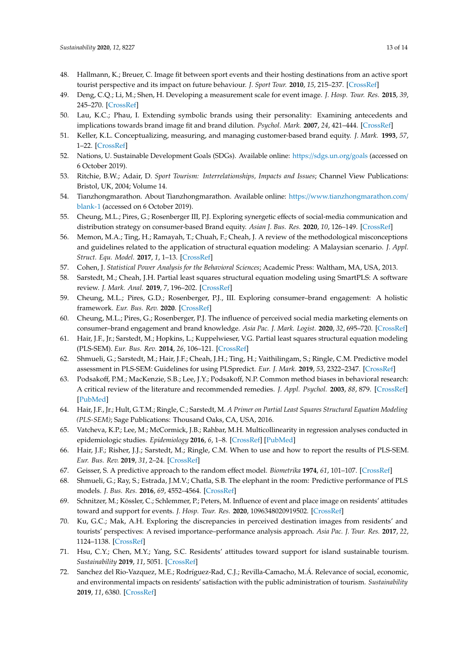- <span id="page-12-0"></span>48. Hallmann, K.; Breuer, C. Image fit between sport events and their hosting destinations from an active sport tourist perspective and its impact on future behaviour. *J. Sport Tour.* **2010**, *15*, 215–237. [\[CrossRef\]](http://dx.doi.org/10.1080/14775085.2010.513147)
- <span id="page-12-1"></span>49. Deng, C.Q.; Li, M.; Shen, H. Developing a measurement scale for event image. *J. Hosp. Tour. Res.* **2015**, *39*, 245–270. [\[CrossRef\]](http://dx.doi.org/10.1177/1096348012471378)
- <span id="page-12-2"></span>50. Lau, K.C.; Phau, I. Extending symbolic brands using their personality: Examining antecedents and implications towards brand image fit and brand dilution. *Psychol. Mark.* **2007**, *24*, 421–444. [\[CrossRef\]](http://dx.doi.org/10.1002/mar.20167)
- <span id="page-12-3"></span>51. Keller, K.L. Conceptualizing, measuring, and managing customer-based brand equity. *J. Mark.* **1993**, *57*, 1–22. [\[CrossRef\]](http://dx.doi.org/10.1177/002224299305700101)
- <span id="page-12-4"></span>52. Nations, U. Sustainable Development Goals (SDGs). Available online: https://[sdgs.un.org](https://sdgs.un.org/goals)/goals (accessed on 6 October 2019).
- <span id="page-12-5"></span>53. Ritchie, B.W.; Adair, D. *Sport Tourism: Interrelationships, Impacts and Issues*; Channel View Publications: Bristol, UK, 2004; Volume 14.
- <span id="page-12-6"></span>54. Tianzhongmarathon. About Tianzhongmarathon. Available online: https://[www.tianzhongmarathon.com](https://www.tianzhongmarathon.com/blank-1)/ [blank-1](https://www.tianzhongmarathon.com/blank-1) (accessed on 6 October 2019).
- <span id="page-12-7"></span>55. Cheung, M.L.; Pires, G.; Rosenberger III, P.J. Exploring synergetic effects of social-media communication and distribution strategy on consumer-based Brand equity. *Asian J. Bus. Res.* **2020**, *10*, 126–149. [\[CrossRef\]](http://dx.doi.org/10.14707/ajbr.200078)
- <span id="page-12-8"></span>56. Memon, M.A.; Ting, H.; Ramayah, T.; Chuah, F.; Cheah, J. A review of the methodological misconceptions and guidelines related to the application of structural equation modeling: A Malaysian scenario. *J. Appl. Struct. Equ. Model.* **2017**, *1*, 1–13. [\[CrossRef\]](http://dx.doi.org/10.47263/JASEM.1(1)01)
- <span id="page-12-10"></span><span id="page-12-9"></span>57. Cohen, J. *Statistical Power Analysis for the Behavioral Sciences*; Academic Press: Waltham, MA, USA, 2013.
- 58. Sarstedt, M.; Cheah, J.H. Partial least squares structural equation modeling using SmartPLS: A software review. *J. Mark. Anal.* **2019**, *7*, 196–202. [\[CrossRef\]](http://dx.doi.org/10.1057/s41270-019-00058-3)
- <span id="page-12-11"></span>59. Cheung, M.L.; Pires, G.D.; Rosenberger, P.J., III. Exploring consumer–brand engagement: A holistic framework. *Eur. Bus. Rev.* **2020**. [\[CrossRef\]](http://dx.doi.org/10.1108/EBR-10-2019-0256)
- <span id="page-12-12"></span>60. Cheung, M.L.; Pires, G.; Rosenberger, P.J. The influence of perceived social media marketing elements on consumer–brand engagement and brand knowledge. *Asia Pac. J. Mark. Logist.* **2020**, *32*, 695–720. [\[CrossRef\]](http://dx.doi.org/10.1108/APJML-04-2019-0262)
- <span id="page-12-13"></span>61. Hair, J.F., Jr.; Sarstedt, M.; Hopkins, L.; Kuppelwieser, V.G. Partial least squares structural equation modeling (PLS-SEM). *Eur. Bus. Rev.* **2014**, *26*, 106–121. [\[CrossRef\]](http://dx.doi.org/10.1108/EBR-10-2013-0128)
- <span id="page-12-14"></span>62. Shmueli, G.; Sarstedt, M.; Hair, J.F.; Cheah, J.H.; Ting, H.; Vaithilingam, S.; Ringle, C.M. Predictive model assessment in PLS-SEM: Guidelines for using PLSpredict. *Eur. J. Mark.* **2019**, *53*, 2322–2347. [\[CrossRef\]](http://dx.doi.org/10.1108/EJM-02-2019-0189)
- <span id="page-12-15"></span>63. Podsakoff, P.M.; MacKenzie, S.B.; Lee, J.Y.; Podsakoff, N.P. Common method biases in behavioral research: A critical review of the literature and recommended remedies. *J. Appl. Psychol.* **2003**, *88*, 879. [\[CrossRef\]](http://dx.doi.org/10.1037/0021-9010.88.5.879) [\[PubMed\]](http://www.ncbi.nlm.nih.gov/pubmed/14516251)
- <span id="page-12-16"></span>64. Hair, J.F., Jr.; Hult, G.T.M.; Ringle, C.; Sarstedt, M. *A Primer on Partial Least Squares Structural Equation Modeling (PLS-SEM)*; Sage Publications: Thousand Oaks, CA, USA, 2016.
- <span id="page-12-17"></span>65. Vatcheva, K.P.; Lee, M.; McCormick, J.B.; Rahbar, M.H. Multicollinearity in regression analyses conducted in epidemiologic studies. *Epidemiology* **2016**, *6*, 1–8. [\[CrossRef\]](http://dx.doi.org/10.4172/2161-1165.1000227) [\[PubMed\]](http://www.ncbi.nlm.nih.gov/pubmed/27274911)
- <span id="page-12-18"></span>66. Hair, J.F.; Risher, J.J.; Sarstedt, M.; Ringle, C.M. When to use and how to report the results of PLS-SEM. *Eur. Bus. Rev.* **2019**, *31*, 2–24. [\[CrossRef\]](http://dx.doi.org/10.1108/EBR-11-2018-0203)
- <span id="page-12-19"></span>67. Geisser, S. A predictive approach to the random effect model. *Biometrika* **1974**, *61*, 101–107. [\[CrossRef\]](http://dx.doi.org/10.1093/biomet/61.1.101)
- <span id="page-12-20"></span>68. Shmueli, G.; Ray, S.; Estrada, J.M.V.; Chatla, S.B. The elephant in the room: Predictive performance of PLS models. *J. Bus. Res.* **2016**, *69*, 4552–4564. [\[CrossRef\]](http://dx.doi.org/10.1016/j.jbusres.2016.03.049)
- <span id="page-12-21"></span>69. Schnitzer, M.; Kössler, C.; Schlemmer, P.; Peters, M. Influence of event and place image on residents' attitudes toward and support for events. *J. Hosp. Tour. Res.* **2020**, 1096348020919502. [\[CrossRef\]](http://dx.doi.org/10.1177/1096348020919502)
- <span id="page-12-22"></span>70. Ku, G.C.; Mak, A.H. Exploring the discrepancies in perceived destination images from residents' and tourists' perspectives: A revised importance–performance analysis approach. *Asia Pac. J. Tour. Res.* **2017**, *22*, 1124–1138. [\[CrossRef\]](http://dx.doi.org/10.1080/10941665.2017.1374294)
- <span id="page-12-23"></span>71. Hsu, C.Y.; Chen, M.Y.; Yang, S.C. Residents' attitudes toward support for island sustainable tourism. *Sustainability* **2019**, *11*, 5051. [\[CrossRef\]](http://dx.doi.org/10.3390/su11185051)
- <span id="page-12-24"></span>72. Sanchez del Rio-Vazquez, M.E.; Rodríguez-Rad, C.J.; Revilla-Camacho, M.Á. Relevance of social, economic, and environmental impacts on residents' satisfaction with the public administration of tourism. *Sustainability* **2019**, *11*, 6380. [\[CrossRef\]](http://dx.doi.org/10.3390/su11226380)